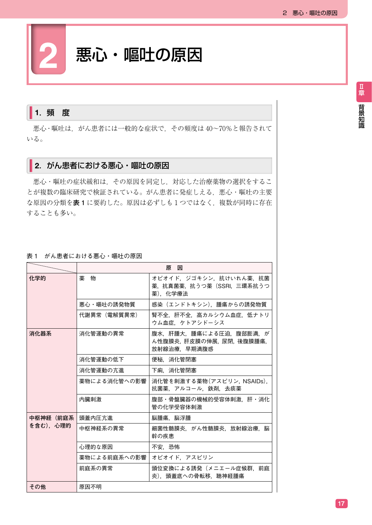# **2** 悪心・嘔吐の原因

# 1. 頻 度

 悪心・嘔吐は,がん患者には一般的な症状で,その頻度は 40~70%と報告されて いる。

# ■2. がん患者における悪心・嘔吐の原因

 悪心・嘔吐の症状緩和は,その原因を同定し,対応した治療薬物の選択をするこ とが複数の臨床研究で検証されている。がん患者に発症しえる、悪心・嘔吐の主要 な原因の分類を**表 1** に要約した。原因は必ずしも 1 つではなく,複数が同時に存在 することも多い。

### 表 1 がん患者における悪心・嘔吐の原因

|                      | 原因           |                                                                   |
|----------------------|--------------|-------------------------------------------------------------------|
| 化学的                  | 薬 物          | オピオイド,ジゴキシン,抗けいれん薬,抗菌<br>薬,抗真菌薬,抗うつ薬(SSRI,三環系抗うつ<br>薬). 化学療法      |
|                      | 悪心・嘔吐の誘発物質   | 感染 (エンドトキシン). 腫瘍からの誘発物質                                           |
|                      | 代謝異常(電解質異常)  | 腎不全.肝不全.高カルシウム血症.低ナトリ<br>ウム血症、ケトアシドーシス                            |
| 消化器系                 | 消化管運動の異常     | 腹水.肝腫大.腫瘍による圧迫.腹部膨満.が<br>ん性腹膜炎, 肝皮膜の伸展, 尿閉, 後腹膜腫瘍,<br>放射線治療,早期満腹感 |
|                      | 消化管運動の低下     | 便秘.消化管閉塞                                                          |
|                      | 消化管運動の亢進     | 下痢.消化管閉塞                                                          |
|                      | 薬物による消化管への影響 | 消化管を刺激する薬物(アスピリン, NSAIDs),<br>抗菌薬.アルコール.鉄剤.去痰薬                    |
|                      | 内臓刺激         | 腹部・骨盤臓器の機械的受容体刺激.肝・消化<br>管の化学受容体刺激                                |
| 中枢神経(前庭系<br>を含む).心理的 | 頭蓋内圧亢進       | 脳腫瘍.脳浮腫                                                           |
|                      | 中枢神経系の異常     | 細菌性髄膜炎,がん性髄膜炎,放射線治療,脳<br>幹の疾患                                     |
|                      | 心理的な原因       | 不安.恐怖                                                             |
|                      | 薬物による前庭系への影響 | オピオイド. アスピリン                                                      |
|                      | 前庭系の異常       | 頭位変換による誘発(メニエール症候群,前庭<br>炎). 頭蓋底への骨転移. 聴神経腫瘍                      |
| その他                  | 原因不明         |                                                                   |